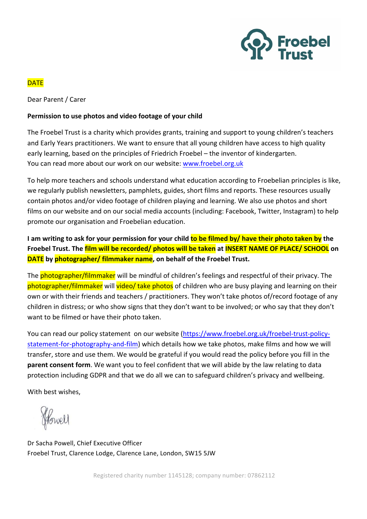

## **DATE**

Dear Parent / Carer

### **Permission to use photos and video footage of your child**

The Froebel Trust is a charity which provides grants, training and support to young children's teachers and Early Years practitioners. We want to ensure that all young children have access to high quality early learning, based on the principles of Friedrich Froebel – the inventor of kindergarten. You can read more about our work on our website: www.froebel.org.uk

To help more teachers and schools understand what education according to Froebelian principles is like, we regularly publish newsletters, pamphlets, guides, short films and reports. These resources usually contain photos and/or video footage of children playing and learning. We also use photos and short films on our website and on our social media accounts (including: Facebook, Twitter, Instagram) to help promote our organisation and Froebelian education.

**I** am writing to ask for your permission for your child **to be filmed by/** have their photo taken by the **Froebel Trust. The film will be recorded/ photos will be taken at INSERT NAME OF PLACE/ SCHOOL** on **DATE** by photographer/ filmmaker name, on behalf of the Froebel Trust.

The **photographer/filmmaker** will be mindful of children's feelings and respectful of their privacy. The photographer/filmmaker will video/ take photos of children who are busy playing and learning on their own or with their friends and teachers / practitioners. They won't take photos of/record footage of any children in distress; or who show signs that they don't want to be involved; or who say that they don't want to be filmed or have their photo taken.

You can read our policy statement on our website (https://www.froebel.org.uk/froebel-trust-policystatement-for-photography-and-film) which details how we take photos, make films and how we will transfer, store and use them. We would be grateful if you would read the policy before you fill in the **parent consent form**. We want you to feel confident that we will abide by the law relating to data protection including GDPR and that we do all we can to safeguard children's privacy and wellbeing.

With best wishes,

Howell

Dr Sacha Powell, Chief Executive Officer Froebel Trust, Clarence Lodge, Clarence Lane, London, SW15 5JW